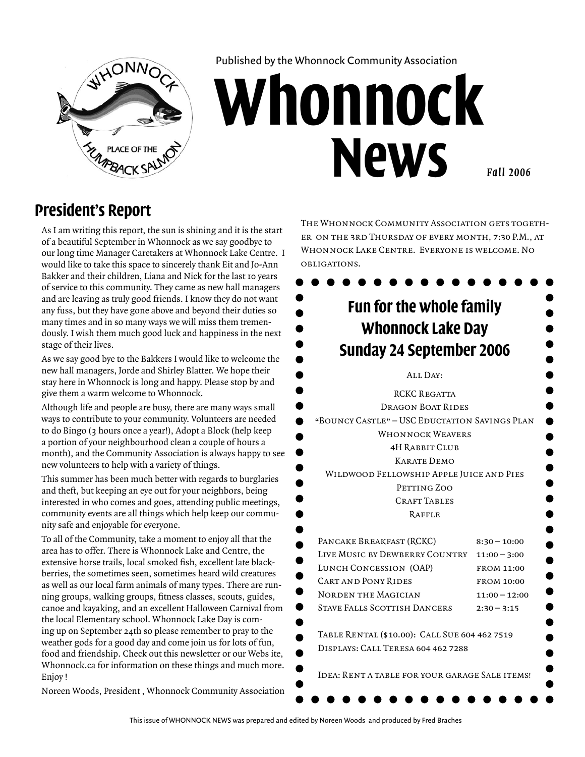

Published by the Whonnock Community Association

# **Whonnock News** *Fall 2006*

#### **President's Report**

As I am writing this report, the sun is shining and it is the start of a beautiful September in Whonnock as we say goodbye to our long time Manager Caretakers at Whonnock Lake Centre. I would like to take this space to sincerely thank Eit and Jo-Ann Bakker and their children, Liana and Nick for the last 10 years of service to this community. They came as new hall managers and are leaving as truly good friends. I know they do not want any fuss, but they have gone above and beyond their duties so many times and in so many ways we will miss them tremendously. I wish them much good luck and happiness in the next stage of their lives.

As we say good bye to the Bakkers I would like to welcome the new hall managers, Jorde and Shirley Blatter. We hope their stay here in Whonnock is long and happy. Please stop by and give them a warm welcome to Whonnock.

Although life and people are busy, there are many ways small ways to contribute to your community. Volunteers are needed to do Bingo (3 hours once a year!), Adopt a Block (help keep a portion of your neighbourhood clean a couple of hours a month), and the Community Association is always happy to see new volunteers to help with a variety of things.

This summer has been much better with regards to burglaries and theft, but keeping an eye out for your neighbors, being interested in who comes and goes, attending public meetings, community events are all things which help keep our community safe and enjoyable for everyone.

To all of the Community, take a moment to enjoy all that the area has to offer. There is Whonnock Lake and Centre, the extensive horse trails, local smoked fish, excellent late blackberries, the sometimes seen, sometimes heard wild creatures as well as our local farm animals of many types. There are running groups, walking groups, fitness classes, scouts, guides, canoe and kayaking, and an excellent Halloween Carnival from the local Elementary school. Whonnock Lake Day is coming up on September 24th so please remember to pray to the weather gods for a good day and come join us for lots of fun, food and friendship. Check out this newsletter or our Webs ite, Whonnock.ca for information on these things and much more. Enjoy !

Noreen Woods, President , Whonnock Community Association

THE WHONNOCK COMMUNITY ASSOCIATION GETS TOGETHer on the 3rd Thursday of every month, 7:30 P.M., at Whonnock Lake Centre. Everyone is welcome. No obligations.

| <b>Fun for the whole family</b><br>Whonnock Lake Day<br>Sunday 24 September 2006 |                   |  |
|----------------------------------------------------------------------------------|-------------------|--|
| ALL DAY:                                                                         |                   |  |
| <b>RCKC REGATTA</b>                                                              |                   |  |
| <b>DRAGON BOAT RIDES</b>                                                         |                   |  |
| "BOUNCY CASTLE" - USC EDUCTATION SAVINGS PLAN                                    |                   |  |
| <b>WHONNOCK WEAVERS</b>                                                          |                   |  |
| 4H RABBIT CLUB                                                                   |                   |  |
| <b>KARATE DEMO</b>                                                               |                   |  |
| WILDWOOD FELLOWSHIP APPLE JUICE AND PIES                                         |                   |  |
| PETTING ZOO                                                                      |                   |  |
| <b>CRAFT TABLES</b>                                                              |                   |  |
| RAFFLE                                                                           |                   |  |
| PANCAKE BREAKFAST (RCKC)                                                         | $8:30 - 10:00$    |  |
| LIVE MUSIC BY DEWBERRY COUNTRY                                                   | $11:00 - 3:00$    |  |
| <b>LUNCH CONCESSION (OAP)</b>                                                    | <b>FROM 11:00</b> |  |
| <b>CART AND PONY RIDES</b>                                                       | <b>FROM 10:00</b> |  |
| NORDEN THE MAGICIAN                                                              | $11:00 - 12:00$   |  |
| <b>STAVE FALLS SCOTTISH DANCERS</b>                                              | $2:30 - 3:15$     |  |
| TABLE RENTAL (\$10.00): CALL SUE 604 462 7519                                    |                   |  |
| DISPLAYS: CALL TERESA 604 462 7288                                               |                   |  |
| IDEA: RENT A TABLE FOR YOUR GARAGE SALE ITEMS!                                   |                   |  |

This issue of Whonnock News was prepared and edited by Noreen Woods and produced by Fred Braches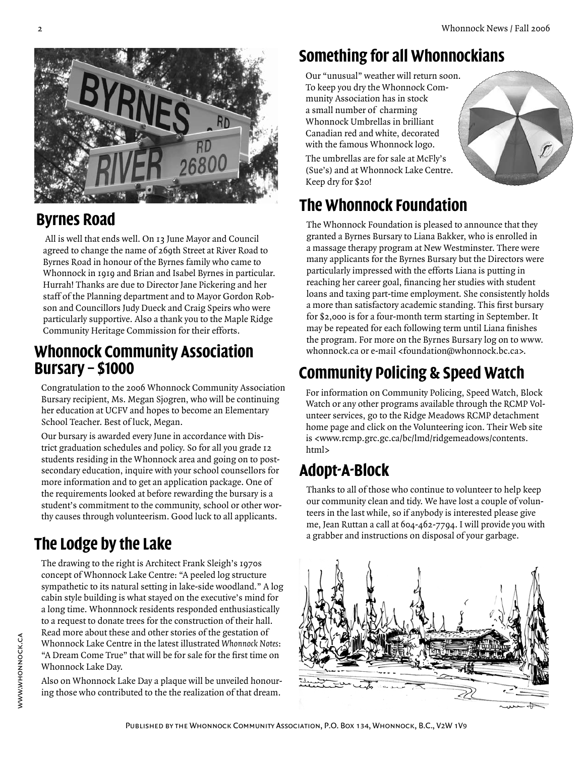

# **Byrnes Road**

 All is well that ends well. On 13 June Mayor and Council agreed to change the name of 269th Street at River Road to Byrnes Road in honour of the Byrnes family who came to Whonnock in 1919 and Brian and Isabel Byrnes in particular. Hurrah! Thanks are due to Director Jane Pickering and her staff of the Planning department and to Mayor Gordon Robson and Councillors Judy Dueck and Craig Speirs who were particularly supportive. Also a thank you to the Maple Ridge Community Heritage Commission for their efforts.

#### **Whonnock Community Association Bursary – \$1000**

Congratulation to the 2006 Whonnock Community Association Bursary recipient, Ms. Megan Sjogren, who will be continuing her education at UCFV and hopes to become an Elementary School Teacher. Best of luck, Megan.

Our bursary is awarded every June in accordance with District graduation schedules and policy. So for all you grade 12 students residing in the Whonnock area and going on to postsecondary education, inquire with your school counsellors for more information and to get an application package. One of the requirements looked at before rewarding the bursary is a student's commitment to the community, school or other worthy causes through volunteerism. Good luck to all applicants.

# **The Lodge by the Lake**

The drawing to the right is Architect Frank Sleigh's 1970s concept of Whonnock Lake Centre: "A peeled log structure sympathetic to its natural setting in lake-side woodland." A log cabin style building is what stayed on the executive's mind for a long time. Whonnnock residents responded enthusiastically to a request to donate trees for the construction of their hall. Read more about these and other stories of the gestation of Whonnock Lake Centre in the latest illustrated *Whonnock Notes*: "A Dream Come True" that will be for sale for the first time on Whonnock Lake Day.

Also on Whonnock Lake Day a plaque will be unveiled honouring those who contributed to the the realization of that dream.

# **Something for all Whonnockians**

Our "unusual" weather will return soon. To keep you dry the Whonnock Community Association has in stock a small number of charming Whonnock Umbrellas in brilliant Canadian red and white, decorated with the famous Whonnock logo.

The umbrellas are for sale at McFly's (Sue's) and at Whonnock Lake Centre. Keep dry for \$20!

# **The Whonnock Foundation**

The Whonnock Foundation is pleased to announce that they granted a Byrnes Bursary to Liana Bakker, who is enrolled in a massage therapy program at New Westminster. There were many applicants for the Byrnes Bursary but the Directors were particularly impressed with the efforts Liana is putting in reaching her career goal, financing her studies with student loans and taxing part-time employment. She consistently holds a more than satisfactory academic standing. This first bursary for \$2,000 is for a four-month term starting in September. It may be repeated for each following term until Liana finishes the program. For more on the Byrnes Bursary log on to www. whonnock.ca or e-mail <foundation@whonnock.bc.ca>.

# **Community Policing & Speed Watch**

For information on Community Policing, Speed Watch, Block Watch or any other programs available through the RCMP Volunteer services, go to the Ridge Meadows RCMP detachment home page and click on the Volunteering icon. Their Web site is <www.rcmp.grc.gc.ca/bc/lmd/ridgemeadows/contents. html>

# **Adopt-A-Block**

Thanks to all of those who continue to volunteer to help keep our community clean and tidy. We have lost a couple of volunteers in the last while, so if anybody is interested please give me, Jean Ruttan a call at 604-462-7794. I will provide you with a grabber and instructions on disposal of your garbage.

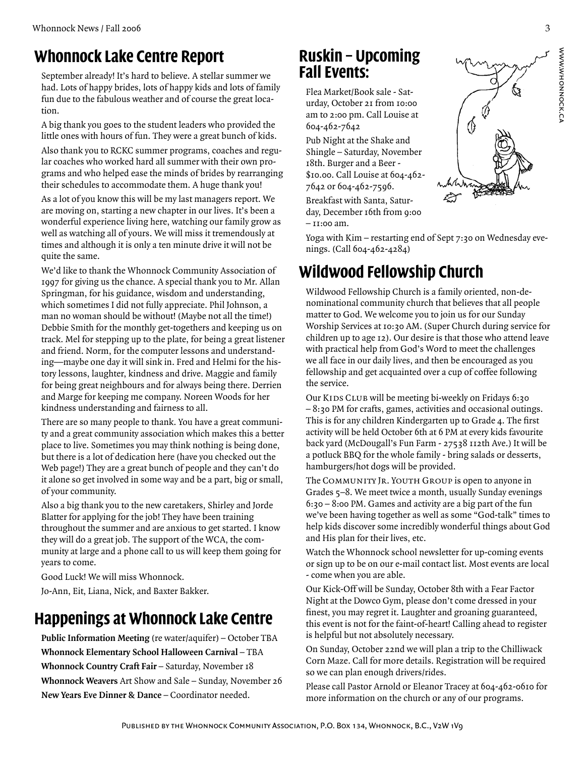#### **Whonnock Lake Centre Report**

September already! It's hard to believe. A stellar summer we had. Lots of happy brides, lots of happy kids and lots of family fun due to the fabulous weather and of course the great location.

A big thank you goes to the student leaders who provided the little ones with hours of fun. They were a great bunch of kids.

Also thank you to RCKC summer programs, coaches and regular coaches who worked hard all summer with their own programs and who helped ease the minds of brides by rearranging their schedules to accommodate them. A huge thank you!

As a lot of you know this will be my last managers report. We are moving on, starting a new chapter in our lives. It's been a wonderful experience living here, watching our family grow as well as watching all of yours. We will miss it tremendously at times and although it is only a ten minute drive it will not be quite the same.

We'd like to thank the Whonnock Community Association of 1997 for giving us the chance. A special thank you to Mr. Allan Springman, for his guidance, wisdom and understanding, which sometimes I did not fully appreciate. Phil Johnson, a man no woman should be without! (Maybe not all the time!) Debbie Smith for the monthly get-togethers and keeping us on track. Mel for stepping up to the plate, for being a great listener and friend. Norm, for the computer lessons and understanding—maybe one day it will sink in. Fred and Helmi for the history lessons, laughter, kindness and drive. Maggie and family for being great neighbours and for always being there. Derrien and Marge for keeping me company. Noreen Woods for her kindness understanding and fairness to all.

There are so many people to thank. You have a great community and a great community association which makes this a better place to live. Sometimes you may think nothing is being done, but there is a lot of dedication here (have you checked out the Web page!) They are a great bunch of people and they can't do it alone so get involved in some way and be a part, big or small, of your community.

Also a big thank you to the new caretakers, Shirley and Jorde Blatter for applying for the job! They have been training throughout the summer and are anxious to get started. I know they will do a great job. The support of the WCA, the community at large and a phone call to us will keep them going for years to come.

Good Luck! We will miss Whonnock.

Jo-Ann, Eit, Liana, Nick, and Baxter Bakker.

#### **Happenings at Whonnock Lake Centre**

**Public Information Meeting** (re water/aquifer) – October TBA **Whonnock Elementary School Halloween Carnival** – TBA **Whonnock Country Craft Fair** – Saturday, November 18 **Whonnock Weavers** Art Show and Sale – Sunday, November 26 **New Years Eve Dinner & Dance** – Coordinator needed.

#### **Ruskin – Upcoming Fall Events:**

Flea Market/Book sale - Saturday, October 21 from 10:00 am to 2:00 pm. Call Louise at 604-462-7642

Pub Night at the Shake and Shingle – Saturday, November 18th. Burger and a Beer - \$10.00. Call Louise at 604-462- 7642 or 604-462-7596.

Breakfast with Santa, Saturday, December 16th from 9:00 – 11:00 am.

Yoga with Kim – restarting end of Sept 7:30 on Wednesday evenings. (Call 604-462-4284)

# **Wildwood Fellowship Church**

Wildwood Fellowship Church is a family oriented, non-denominational community church that believes that all people matter to God. We welcome you to join us for our Sunday Worship Services at 10:30 AM. (Super Church during service for children up to age 12). Our desire is that those who attend leave with practical help from God's Word to meet the challenges we all face in our daily lives, and then be encouraged as you fellowship and get acquainted over a cup of coffee following the service.

Our KIDS CLUB will be meeting bi-weekly on Fridays 6:30 – 8:30 PM for crafts, games, activities and occasional outings. This is for any children Kindergarten up to Grade 4. The first activity will be held October 6th at 6 PM at every kids favourite back yard (McDougall's Fun Farm - 27538 112th Ave.) It will be a potluck BBQ for the whole family - bring salads or desserts, hamburgers/hot dogs will be provided.

The COMMUNITY JR. YOUTH GROUP is open to anyone in Grades 5–8. We meet twice a month, usually Sunday evenings 6:30 – 8:00 PM. Games and activity are a big part of the fun we've been having together as well as some "God-talk" times to help kids discover some incredibly wonderful things about God and His plan for their lives, etc.

Watch the Whonnock school newsletter for up-coming events or sign up to be on our e-mail contact list. Most events are local - come when you are able.

Our Kick-Off will be Sunday, October 8th with a Fear Factor Night at the Dowco Gym, please don't come dressed in your finest, you may regret it. Laughter and groaning guaranteed, this event is not for the faint-of-heart! Calling ahead to register is helpful but not absolutely necessary.

On Sunday, October 22nd we will plan a trip to the Chilliwack Corn Maze. Call for more details. Registration will be required so we can plan enough drivers/rides.

Please call Pastor Arnold or Eleanor Tracey at 604-462-0610 for more information on the church or any of our programs.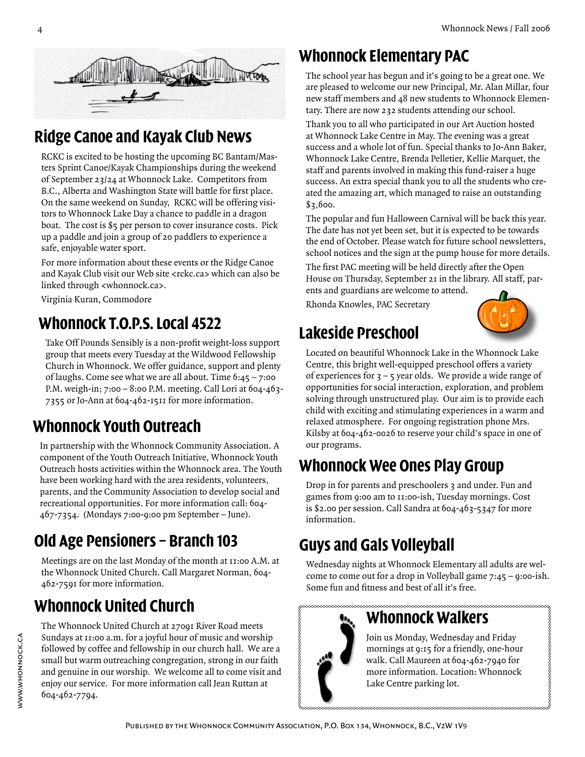

# **Ridge Canoe and Kayak Club News**

RCKC is excited to be hosting the upcoming BC Bantam/Masters Sprint Canoe/Kayak Championships during the weekend of September 23/24 at Whonnock Lake. Competitors from B.C., Alberta and Washington State will battle for first place. On the same weekend on Sunday, RCKC will be offering visitors to Whonnock Lake Day a chance to paddle in a dragon boat. The cost is \$5 per person to cover insurance costs. Pick up a paddle and join a group of 20 paddlers to experience a safe, enjoyable water sport.

For more information about these events or the Ridge Canoe and Kayak Club visit our Web site <rckc.ca> which can also be linked through <whonnock.ca>.

Virginia Kuran, Commodore

# **Whonnock T.O.P.S. Local 4522**

Take Off Pounds Sensibly is a non-profit weight-loss support group that meets every Tuesday at the Wildwood Fellowship Church in Whonnock. We offer guidance, support and plenty of laughs. Come see what we are all about. Time 6:45 – 7:00 P.M. weigh-in; 7:00 – 8:00 P.M. meeting. Call Lori at 604-463- 7355 or Jo-Ann at 604-462-1511 for more information.

# **Whonnock Youth Outreach**

In partnership with the Whonnock Community Association. A component of the Youth Outreach Initiative, Whonnock Youth Outreach hosts activities within the Whonnock area. The Youth have been working hard with the area residents, volunteers, parents, and the Community Association to develop social and recreational opportunities. For more information call: 604- 467-7354. (Mondays 7:00-9:00 pm September – June).

# **Old Age Pensioners – Branch 103**

Meetings are on the last Monday of the month at 11:00 A.M. at the Whonnock United Church. Call Margaret Norman, 604- 462-7591 for more information.

# **Whonnock United Church**

www.whonnock.ca

WWW.WHONNOCK.CA

The Whonnock United Church at 27091 River Road meets Sundays at 11:00 a.m. for a joyful hour of music and worship followed by coffee and fellowship in our church hall. We are a small but warm outreaching congregation, strong in our faith and genuine in our worship. We welcome all to come visit and enjoy our service. For more information call Jean Ruttan at 604-462-7794.

### **Whonnock Elementary PAC**

The school year has begun and it's going to be a great one. We are pleased to welcome our new Principal, Mr. Alan Millar, four new staff members and 48 new students to Whonnock Elementary. There are now 232 students attending our school.

Thank you to all who participated in our Art Auction hosted at Whonnock Lake Centre in May. The evening was a great success and a whole lot of fun. Special thanks to Jo-Ann Baker, Whonnock Lake Centre, Brenda Pelletier, Kellie Marquet, the staff and parents involved in making this fund-raiser a huge success. An extra special thank you to all the students who created the amazing art, which managed to raise an outstanding \$3,600.

The popular and fun Halloween Carnival will be back this year. The date has not yet been set, but it is expected to be towards the end of October. Please watch for future school newsletters, school notices and the sign at the pump house for more details.

The first PAC meeting will be held directly after the Open House on Thursday, September 21 in the library. All staff, parents and guardians are welcome to attend.

Rhonda Knowles, PAC Secretary

# **Lakeside Preschool**



Located on beautiful Whonnock Lake in the Whonnock Lake Centre, this bright well-equipped preschool offers a variety of experiences for  $3 - 5$  year olds. We provide a wide range of opportunities for social interaction, exploration, and problem solving through unstructured play. Our aim is to provide each child with exciting and stimulating experiences in a warm and relaxed atmosphere. For ongoing registration phone Mrs. Kilsby at 604-462-0026 to reserve your child's space in one of our programs.

# **Whonnock Wee Ones Play Group**

Drop in for parents and preschoolers 3 and under. Fun and games from 9:00 am to 11:00-ish, Tuesday mornings. Cost is \$2.00 per session. Call Sandra at 604-463-5347 for more information.

# **Guys and Gals Volleyball**

Wednesday nights at Whonnock Elementary all adults are welcome to come out for a drop in Volleyball game 7:45 – 9:00-ish. Some fun and fitness and best of all it's free.



### **Whonnock Walkers**

Join us Monday, Wednesday and Friday mornings at 9:15 for a friendly, one-hour walk. Call Maureen at 604-462-7940 for more information. Location: Whonnock Lake Centre parking lot.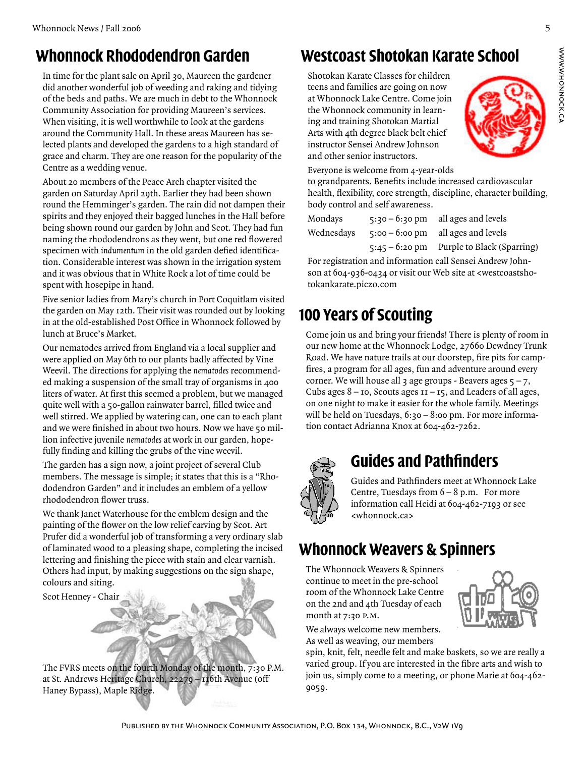#### **Whonnock Rhododendron Garden**

In time for the plant sale on April 30, Maureen the gardener did another wonderful job of weeding and raking and tidying of the beds and paths. We are much in debt to the Whonnock Community Association for providing Maureen's services. When visiting, it is well worthwhile to look at the gardens around the Community Hall. In these areas Maureen has selected plants and developed the gardens to a high standard of grace and charm. They are one reason for the popularity of the Centre as a wedding venue.

About 20 members of the Peace Arch chapter visited the garden on Saturday April 29th. Earlier they had been shown round the Hemminger's garden. The rain did not dampen their spirits and they enjoyed their bagged lunches in the Hall before being shown round our garden by John and Scot. They had fun naming the rhododendrons as they went, but one red flowered specimen with *indumentum* in the old garden defied identification. Considerable interest was shown in the irrigation system and it was obvious that in White Rock a lot of time could be spent with hosepipe in hand.

Five senior ladies from Mary's church in Port Coquitlam visited the garden on May 12th. Their visit was rounded out by looking in at the old-established Post Office in Whonnock followed by lunch at Bruce's Market.

Our nematodes arrived from England via a local supplier and were applied on May 6th to our plants badly affected by Vine Weevil. The directions for applying the *nematodes* recommended making a suspension of the small tray of organisms in 400 liters of water. At first this seemed a problem, but we managed quite well with a 50-gallon rainwater barrel, filled twice and well stirred. We applied by watering can, one can to each plant and we were finished in about two hours. Now we have 50 million infective juvenile *nematodes* at work in our garden, hopefully finding and killing the grubs of the vine weevil.

The garden has a sign now, a joint project of several Club members. The message is simple; it states that this is a "Rhododendron Garden" and it includes an emblem of a yellow rhododendron flower truss.

We thank Janet Waterhouse for the emblem design and the painting of the flower on the low relief carving by Scot. Art Prufer did a wonderful job of transforming a very ordinary slab of laminated wood to a pleasing shape, completing the incised lettering and finishing the piece with stain and clear varnish. Others had input, by making suggestions on the sign shape, colours and siting.

Scot Henney - Chair



### **Westcoast Shotokan Karate School**

Shotokan Karate Classes for children teens and families are going on now at Whonnock Lake Centre. Come join the Whonnock community in learning and training Shotokan Martial Arts with 4th degree black belt chief instructor Sensei Andrew Johnson and other senior instructors.



Everyone is welcome from 4-year-olds

to grandparents. Benefits include increased cardiovascular health, flexibility, core strength, discipline, character building, body control and self awareness.

| Mondays    | $5:30 - 6:30 \text{ pm}$ all ages and levels |
|------------|----------------------------------------------|
| Wednesdays | $5:00 - 6:00 \text{ pm}$ all ages and levels |
|            | $5:45 - 6:20$ pm Purple to Black (Sparring)  |

For registration and information call Sensei Andrew Johnson at 604-936-0434 or visit our Web site at <westcoastshotokankarate.piczo.com

### **100 Years of Scouting**

Come join us and bring your friends! There is plenty of room in our new home at the Whonnock Lodge, 27660 Dewdney Trunk Road. We have nature trails at our doorstep, fire pits for campfires, a program for all ages, fun and adventure around every corner. We will house all 3 age groups - Beavers ages  $5 - 7$ , Cubs ages  $8 -$  10, Scouts ages  $11 - 15$ , and Leaders of all ages, on one night to make it easier for the whole family. Meetings will be held on Tuesdays, 6:30 - 8:00 pm. For more information contact Adrianna Knox at 604-462-7262.



#### **Guides and Pathfinders**

Guides and Pathfinders meet at Whonnock Lake Centre, Tuesdays from  $6 - 8$  p.m. For more information call Heidi at 604-462-7193 or see <whonnock.ca>

### **Whonnock Weavers & Spinners**

The Whonnock Weavers & Spinners continue to meet in the pre-school room of the Whonnock Lake Centre on the 2nd and 4th Tuesday of each month at 7:30 p.m.

We always welcome new members. As well as weaving, our members

spin, knit, felt, needle felt and make baskets, so we are really a varied group. If you are interested in the fibre arts and wish to join us, simply come to a meeting, or phone Marie at 604-462- 9059.